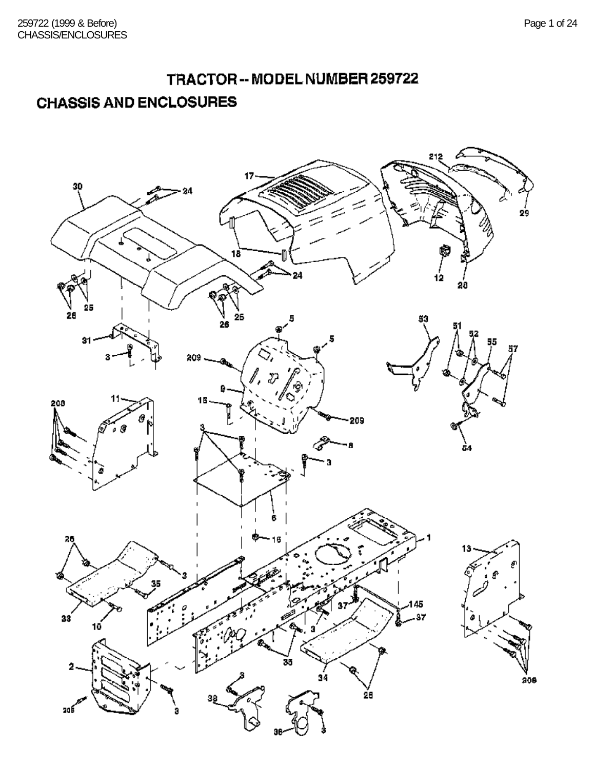# TRACTOR -- MODEL NUMBER 259722

## **CHASSIS AND ENCLOSURES**

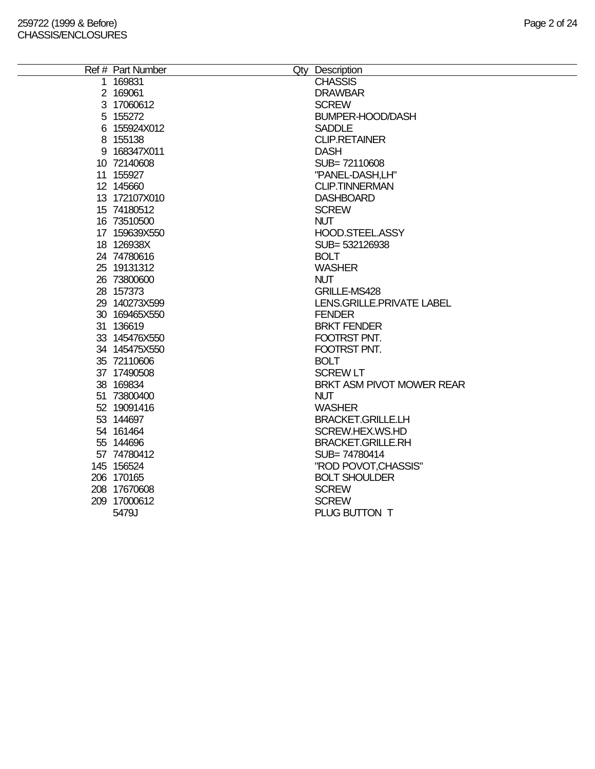| Ref # Part Number | Qty Description           |
|-------------------|---------------------------|
| 1 169831          | <b>CHASSIS</b>            |
| 2 169061          | <b>DRAWBAR</b>            |
| 3 17060612        | <b>SCREW</b>              |
| 5 155272          | <b>BUMPER-HOOD/DASH</b>   |
| 6 155924X012      | <b>SADDLE</b>             |
| 8 155138          | <b>CLIP.RETAINER</b>      |
| 9 168347X011      | <b>DASH</b>               |
| 10 72140608       | SUB=72110608              |
| 11 155927         | "PANEL-DASH,LH"           |
| 12 145660         | <b>CLIP.TINNERMAN</b>     |
| 13 172107X010     | <b>DASHBOARD</b>          |
| 15 74180512       | <b>SCREW</b>              |
| 16 73510500       | <b>NUT</b>                |
| 17 159639X550     | HOOD.STEEL.ASSY           |
| 18 126938X        | SUB= 532126938            |
| 24 74780616       | <b>BOLT</b>               |
| 25 19131312       | <b>WASHER</b>             |
| 26 73800600       | <b>NUT</b>                |
| 28 157373         | GRILLE-MS428              |
| 29 140273X599     | LENS.GRILLE.PRIVATE LABEL |
| 30 169465X550     | <b>FENDER</b>             |
| 31 136619         | <b>BRKT FENDER</b>        |
| 33 145476X550     | FOOTRST PNT.              |
| 34 145475X550     | FOOTRST PNT.              |
| 35 72110606       | <b>BOLT</b>               |
| 37 17490508       | <b>SCREW LT</b>           |
| 38 169834         | BRKT ASM PIVOT MOWER REAR |
| 51 73800400       | <b>NUT</b>                |
| 52 19091416       | <b>WASHER</b>             |
| 53 144697         | <b>BRACKET.GRILLE.LH</b>  |
| 54 161464         | SCREW.HEX.WS.HD           |
| 55 144696         | <b>BRACKET.GRILLE.RH</b>  |
| 57 74780412       | SUB=74780414              |
| 145 156524        | "ROD POVOT, CHASSIS"      |
| 206 170165        | <b>BOLT SHOULDER</b>      |
| 208 17670608      | <b>SCREW</b>              |
| 209 17000612      | <b>SCREW</b>              |
| 5479J             | PLUG BUTTON T             |
|                   |                           |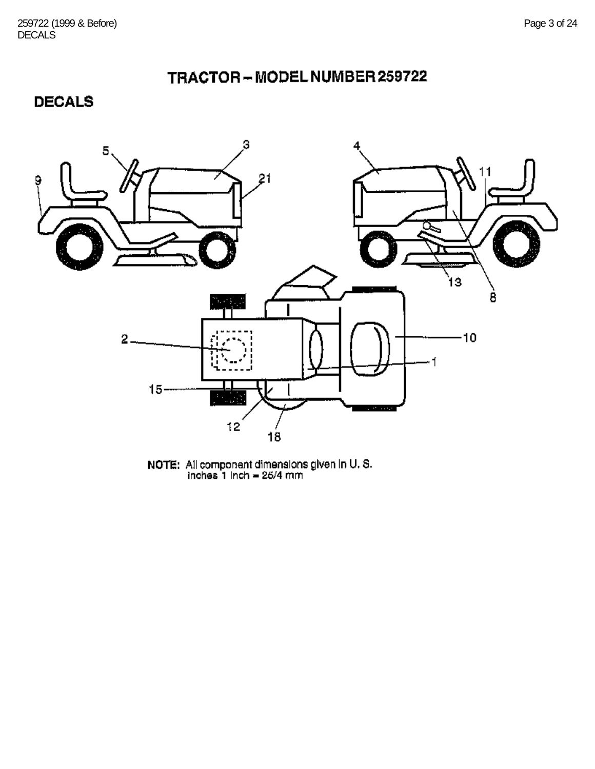## TRACTOR-MODELNUMBER259722

**DECALS** 



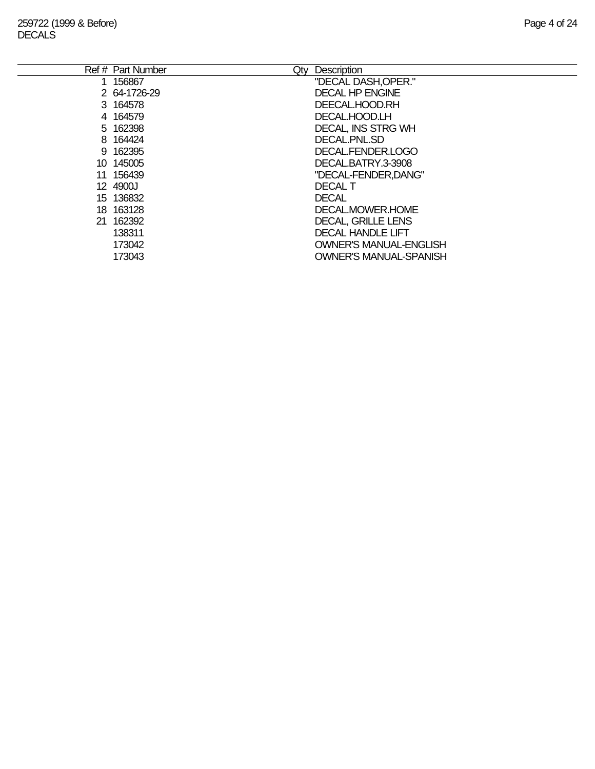| Ref # Part Number<br>Qty | Description                   |
|--------------------------|-------------------------------|
| 1 156867                 | "DECAL DASH, OPER."           |
| 2 64-1726-29             | <b>DECAL HP ENGINE</b>        |
| 3 164578                 | DEECAL.HOOD.RH                |
| 4 164579                 | DECAL.HOOD.LH                 |
| 5 162398                 | <b>DECAL, INS STRG WH</b>     |
| 8 164424                 | DECAL PNL SD                  |
| 9 162395                 | DECAL.FENDER.LOGO             |
| 10 145005                | DECAL.BATRY.3-3908            |
| 11 156439                | "DECAL-FENDER, DANG"          |
| 12 4900J                 | <b>DECAL T</b>                |
| 15 136832                | <b>DECAL</b>                  |
| 18 163128                | DECAL MOWER HOME              |
| 21 162392                | <b>DECAL, GRILLE LENS</b>     |
| 138311                   | <b>DECAL HANDLE LIFT</b>      |
| 173042                   | <b>OWNER'S MANUAL-ENGLISH</b> |
| 173043                   | OWNER'S MANUAL-SPANISH        |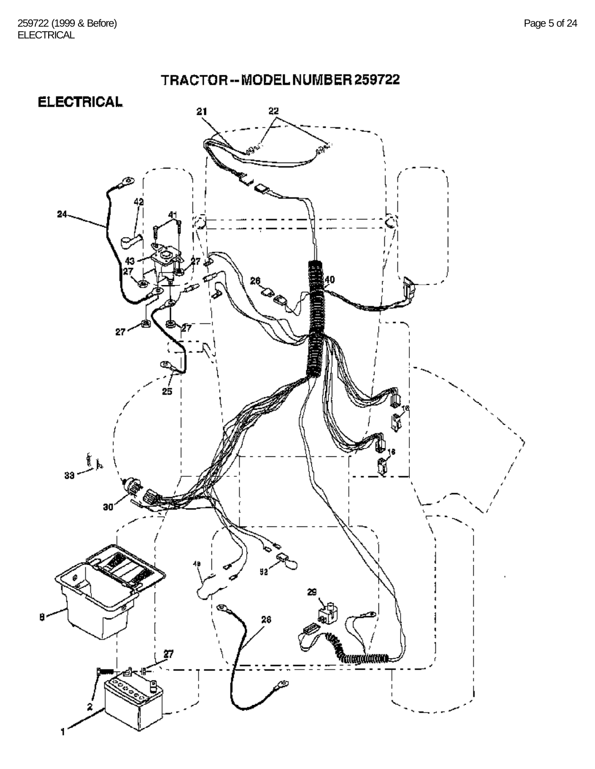

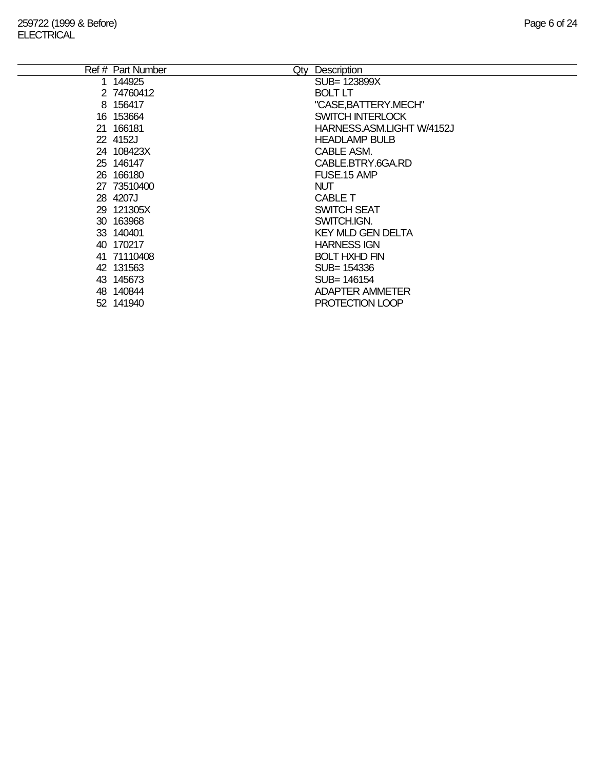| Ref # Part Number | Description<br>Qty        |
|-------------------|---------------------------|
| 144925            | SUB= 123899X              |
| 2 74760412        | <b>BOLT LT</b>            |
| 8 156417          | "CASE, BATTERY.MECH"      |
| 16 153664         | <b>SWITCH INTERLOCK</b>   |
| 21 166181         | HARNESS.ASM.LIGHT W/4152J |
| 22 4152J          | <b>HEADLAMP BULB</b>      |
| 24 108423X        | CABLE ASM.                |
| 25 146147         | CABLE.BTRY.6GA.RD         |
| 26 166180         | FUSE.15 AMP               |
| 27 73510400       | <b>NUT</b>                |
| 28 4207J          | <b>CABLE T</b>            |
| 29 121305X        | <b>SWITCH SEAT</b>        |
| 30 163968         | SWITCH.IGN.               |
| 33 140401         | <b>KEY MLD GEN DELTA</b>  |
| 40 170217         | <b>HARNESS IGN</b>        |
| 41 71110408       | <b>BOLT HXHD FIN</b>      |
| 42 131563         | SUB= 154336               |
| 43 145673         | SUB= 146154               |
| 48 140844         | <b>ADAPTER AMMETER</b>    |
| 52 141940         | PROTECTION LOOP           |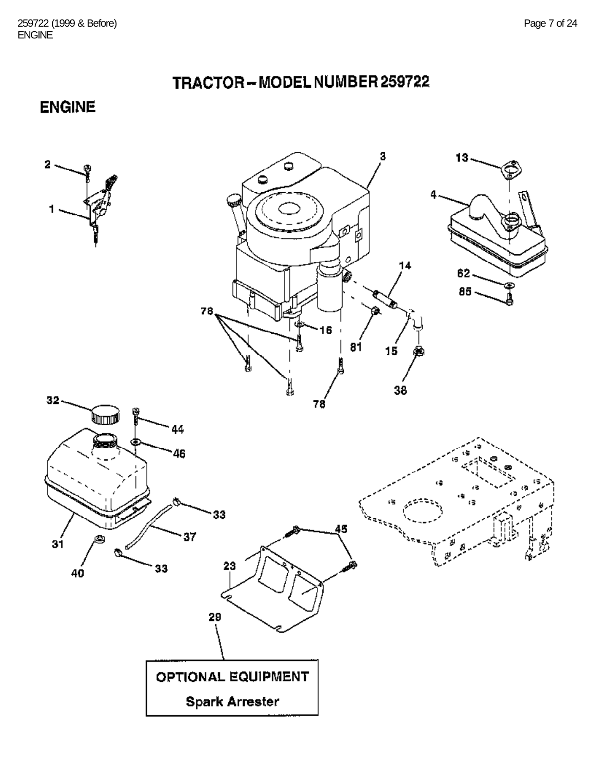TRACTOR-MODEL NUMBER 259722

**ENGINE** 

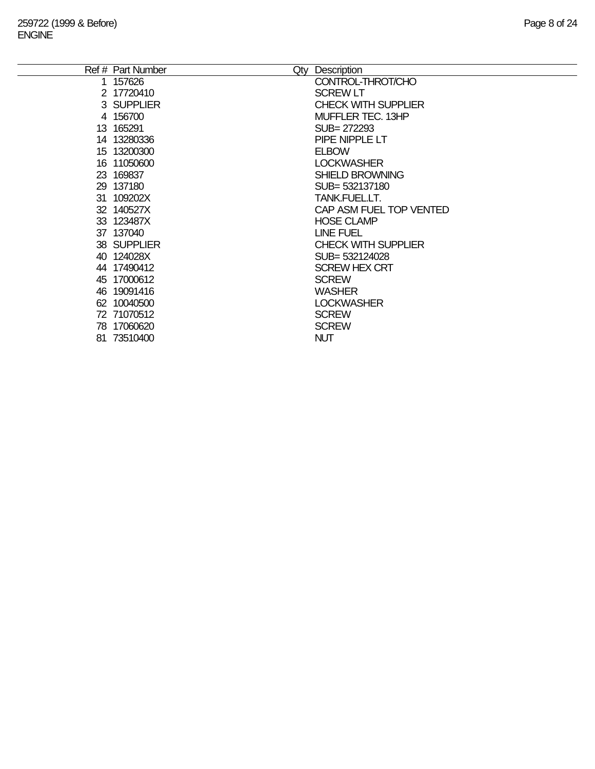÷.

| Ref # Part Number | Qty Description            |
|-------------------|----------------------------|
| 1 157626          | CONTROL-THROT/CHO          |
| 2 17720410        | <b>SCREW LT</b>            |
| 3 SUPPLIER        | <b>CHECK WITH SUPPLIER</b> |
| 4 156700          | MUFFLER TEC. 13HP          |
| 13 165291         | SUB= 272293                |
| 14 13280336       | PIPE NIPPLE LT             |
| 15 13200300       | <b>ELBOW</b>               |
| 16 11050600       | <b>LOCKWASHER</b>          |
| 23 169837         | <b>SHIELD BROWNING</b>     |
| 29 137180         | SUB= 532137180             |
| 31 109202X        | TANK.FUEL.LT.              |
| 32 140527X        | CAP ASM FUEL TOP VENTED    |
| 33 123487X        | <b>HOSE CLAMP</b>          |
| 37 137040         | LINE FUEL                  |
| 38 SUPPLIER       | <b>CHECK WITH SUPPLIER</b> |
| 40 124028X        | SUB= 532124028             |
| 44 17490412       | <b>SCREW HEX CRT</b>       |
| 45 17000612       | <b>SCREW</b>               |
| 46 19091416       | <b>WASHER</b>              |
| 62 10040500       | <b>LOCKWASHER</b>          |
| 72 71070512       | <b>SCREW</b>               |
| 78 17060620       | <b>SCREW</b>               |
| 81 73510400       | <b>NUT</b>                 |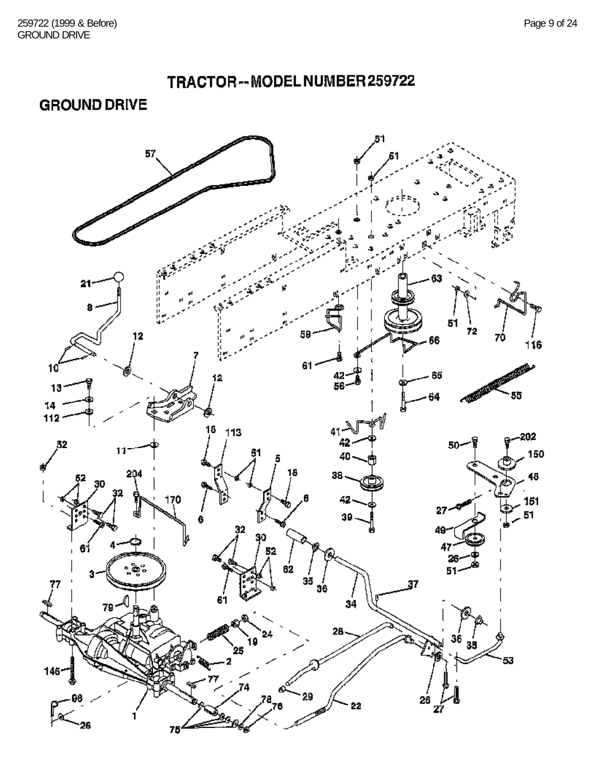**GROUND DRIVE** 

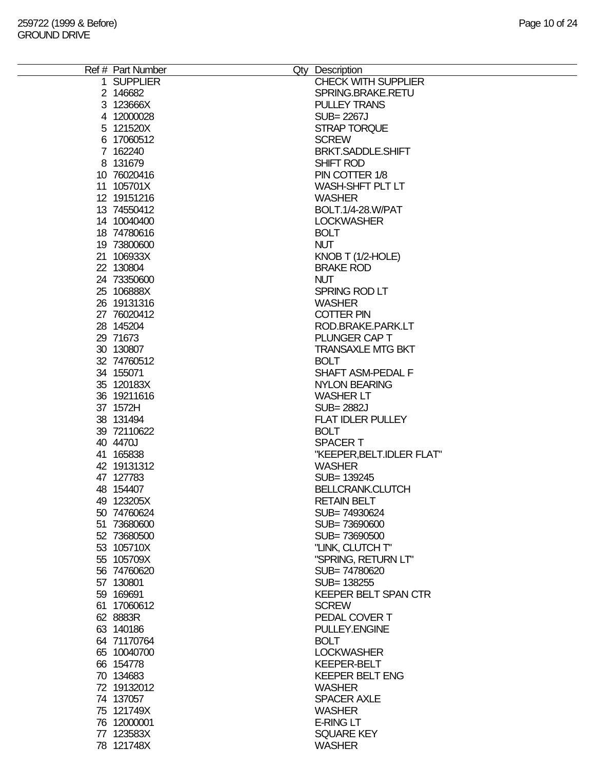| Ref # Part Number<br>Qty Description<br><b>CHECK WITH SUPPLIER</b><br>1 SUPPLIER<br>2 146682<br>SPRING.BRAKE.RETU<br>3 123666X<br><b>PULLEY TRANS</b><br>4 12000028<br>SUB= 2267J<br>5 121520X<br>STRAP TORQUE<br>6 17060512<br><b>SCREW</b><br>7 162240<br>BRKT.SADDLE.SHIFT<br>8 131679<br>SHIFT ROD<br>10 76020416<br>PIN COTTER 1/8<br>11 105701X<br>WASH-SHFT PLT LT<br>12 19151216<br><b>WASHER</b><br>BOLT.1/4-28.W/PAT<br>13 74550412<br>14 10040400<br><b>LOCKWASHER</b><br>18 74780616<br><b>BOLT</b><br>19 73800600<br><b>NUT</b><br>21 106933X<br>KNOB T (1/2-HOLE)<br>22 130804<br><b>BRAKE ROD</b><br>24 73350600<br><b>NUT</b><br>25 106888X<br>SPRING ROD LT<br>26 19131316<br><b>WASHER</b><br>27 76020412<br><b>COTTER PIN</b><br>28 145204<br>ROD.BRAKE.PARK.LT |  |
|------------------------------------------------------------------------------------------------------------------------------------------------------------------------------------------------------------------------------------------------------------------------------------------------------------------------------------------------------------------------------------------------------------------------------------------------------------------------------------------------------------------------------------------------------------------------------------------------------------------------------------------------------------------------------------------------------------------------------------------------------------------------------------|--|
|                                                                                                                                                                                                                                                                                                                                                                                                                                                                                                                                                                                                                                                                                                                                                                                    |  |
|                                                                                                                                                                                                                                                                                                                                                                                                                                                                                                                                                                                                                                                                                                                                                                                    |  |
|                                                                                                                                                                                                                                                                                                                                                                                                                                                                                                                                                                                                                                                                                                                                                                                    |  |
|                                                                                                                                                                                                                                                                                                                                                                                                                                                                                                                                                                                                                                                                                                                                                                                    |  |
|                                                                                                                                                                                                                                                                                                                                                                                                                                                                                                                                                                                                                                                                                                                                                                                    |  |
|                                                                                                                                                                                                                                                                                                                                                                                                                                                                                                                                                                                                                                                                                                                                                                                    |  |
|                                                                                                                                                                                                                                                                                                                                                                                                                                                                                                                                                                                                                                                                                                                                                                                    |  |
|                                                                                                                                                                                                                                                                                                                                                                                                                                                                                                                                                                                                                                                                                                                                                                                    |  |
|                                                                                                                                                                                                                                                                                                                                                                                                                                                                                                                                                                                                                                                                                                                                                                                    |  |
|                                                                                                                                                                                                                                                                                                                                                                                                                                                                                                                                                                                                                                                                                                                                                                                    |  |
|                                                                                                                                                                                                                                                                                                                                                                                                                                                                                                                                                                                                                                                                                                                                                                                    |  |
|                                                                                                                                                                                                                                                                                                                                                                                                                                                                                                                                                                                                                                                                                                                                                                                    |  |
|                                                                                                                                                                                                                                                                                                                                                                                                                                                                                                                                                                                                                                                                                                                                                                                    |  |
|                                                                                                                                                                                                                                                                                                                                                                                                                                                                                                                                                                                                                                                                                                                                                                                    |  |
|                                                                                                                                                                                                                                                                                                                                                                                                                                                                                                                                                                                                                                                                                                                                                                                    |  |
|                                                                                                                                                                                                                                                                                                                                                                                                                                                                                                                                                                                                                                                                                                                                                                                    |  |
|                                                                                                                                                                                                                                                                                                                                                                                                                                                                                                                                                                                                                                                                                                                                                                                    |  |
|                                                                                                                                                                                                                                                                                                                                                                                                                                                                                                                                                                                                                                                                                                                                                                                    |  |
|                                                                                                                                                                                                                                                                                                                                                                                                                                                                                                                                                                                                                                                                                                                                                                                    |  |
|                                                                                                                                                                                                                                                                                                                                                                                                                                                                                                                                                                                                                                                                                                                                                                                    |  |
|                                                                                                                                                                                                                                                                                                                                                                                                                                                                                                                                                                                                                                                                                                                                                                                    |  |
|                                                                                                                                                                                                                                                                                                                                                                                                                                                                                                                                                                                                                                                                                                                                                                                    |  |
|                                                                                                                                                                                                                                                                                                                                                                                                                                                                                                                                                                                                                                                                                                                                                                                    |  |
|                                                                                                                                                                                                                                                                                                                                                                                                                                                                                                                                                                                                                                                                                                                                                                                    |  |
|                                                                                                                                                                                                                                                                                                                                                                                                                                                                                                                                                                                                                                                                                                                                                                                    |  |
|                                                                                                                                                                                                                                                                                                                                                                                                                                                                                                                                                                                                                                                                                                                                                                                    |  |
|                                                                                                                                                                                                                                                                                                                                                                                                                                                                                                                                                                                                                                                                                                                                                                                    |  |
| 29 71673<br>PLUNGER CAP T                                                                                                                                                                                                                                                                                                                                                                                                                                                                                                                                                                                                                                                                                                                                                          |  |
| 30 130807<br><b>TRANSAXLE MTG BKT</b>                                                                                                                                                                                                                                                                                                                                                                                                                                                                                                                                                                                                                                                                                                                                              |  |
| 32 74760512<br><b>BOLT</b>                                                                                                                                                                                                                                                                                                                                                                                                                                                                                                                                                                                                                                                                                                                                                         |  |
|                                                                                                                                                                                                                                                                                                                                                                                                                                                                                                                                                                                                                                                                                                                                                                                    |  |
| SHAFT ASM-PEDAL F<br>34 155071                                                                                                                                                                                                                                                                                                                                                                                                                                                                                                                                                                                                                                                                                                                                                     |  |
| 35 120183X<br><b>NYLON BEARING</b>                                                                                                                                                                                                                                                                                                                                                                                                                                                                                                                                                                                                                                                                                                                                                 |  |
| 36 19211616<br><b>WASHER LT</b>                                                                                                                                                                                                                                                                                                                                                                                                                                                                                                                                                                                                                                                                                                                                                    |  |
| 37 1572H<br><b>SUB=2882J</b>                                                                                                                                                                                                                                                                                                                                                                                                                                                                                                                                                                                                                                                                                                                                                       |  |
| <b>FLAT IDLER PULLEY</b><br>38 131494                                                                                                                                                                                                                                                                                                                                                                                                                                                                                                                                                                                                                                                                                                                                              |  |
|                                                                                                                                                                                                                                                                                                                                                                                                                                                                                                                                                                                                                                                                                                                                                                                    |  |
| 39 72110622<br><b>BOLT</b>                                                                                                                                                                                                                                                                                                                                                                                                                                                                                                                                                                                                                                                                                                                                                         |  |
| 40 4470J<br><b>SPACERT</b>                                                                                                                                                                                                                                                                                                                                                                                                                                                                                                                                                                                                                                                                                                                                                         |  |
| 41 165838<br>"KEEPER, BELT. IDLER FLAT"                                                                                                                                                                                                                                                                                                                                                                                                                                                                                                                                                                                                                                                                                                                                            |  |
| 42 19131312<br><b>WASHER</b>                                                                                                                                                                                                                                                                                                                                                                                                                                                                                                                                                                                                                                                                                                                                                       |  |
| 47 127783<br>SUB= 139245                                                                                                                                                                                                                                                                                                                                                                                                                                                                                                                                                                                                                                                                                                                                                           |  |
| 48 154407<br><b>BELLCRANK.CLUTCH</b>                                                                                                                                                                                                                                                                                                                                                                                                                                                                                                                                                                                                                                                                                                                                               |  |
|                                                                                                                                                                                                                                                                                                                                                                                                                                                                                                                                                                                                                                                                                                                                                                                    |  |
| <b>RETAIN BELT</b><br>49 123205X                                                                                                                                                                                                                                                                                                                                                                                                                                                                                                                                                                                                                                                                                                                                                   |  |
| 50 74760624<br>SUB=74930624                                                                                                                                                                                                                                                                                                                                                                                                                                                                                                                                                                                                                                                                                                                                                        |  |
| 51 73680600<br>SUB=73690600                                                                                                                                                                                                                                                                                                                                                                                                                                                                                                                                                                                                                                                                                                                                                        |  |
| 52 73680500<br>SUB=73690500                                                                                                                                                                                                                                                                                                                                                                                                                                                                                                                                                                                                                                                                                                                                                        |  |
| 53 105710X<br>"LINK, CLUTCH T"                                                                                                                                                                                                                                                                                                                                                                                                                                                                                                                                                                                                                                                                                                                                                     |  |
| 55 105709X<br>"SPRING, RETURN LT"                                                                                                                                                                                                                                                                                                                                                                                                                                                                                                                                                                                                                                                                                                                                                  |  |
| 56 74760620<br>SUB=74780620                                                                                                                                                                                                                                                                                                                                                                                                                                                                                                                                                                                                                                                                                                                                                        |  |
|                                                                                                                                                                                                                                                                                                                                                                                                                                                                                                                                                                                                                                                                                                                                                                                    |  |
| 57 130801<br>SUB= 138255                                                                                                                                                                                                                                                                                                                                                                                                                                                                                                                                                                                                                                                                                                                                                           |  |
| 59 169691<br><b>KEEPER BELT SPAN CTR</b>                                                                                                                                                                                                                                                                                                                                                                                                                                                                                                                                                                                                                                                                                                                                           |  |
| <b>SCREW</b><br>61 17060612                                                                                                                                                                                                                                                                                                                                                                                                                                                                                                                                                                                                                                                                                                                                                        |  |
| 62 8883R<br>PEDAL COVER T                                                                                                                                                                                                                                                                                                                                                                                                                                                                                                                                                                                                                                                                                                                                                          |  |
| 63 140186<br>PULLEY.ENGINE                                                                                                                                                                                                                                                                                                                                                                                                                                                                                                                                                                                                                                                                                                                                                         |  |
| 64 71170764<br><b>BOLT</b>                                                                                                                                                                                                                                                                                                                                                                                                                                                                                                                                                                                                                                                                                                                                                         |  |
|                                                                                                                                                                                                                                                                                                                                                                                                                                                                                                                                                                                                                                                                                                                                                                                    |  |
| 65 10040700<br><b>LOCKWASHER</b>                                                                                                                                                                                                                                                                                                                                                                                                                                                                                                                                                                                                                                                                                                                                                   |  |
| 66 154778<br><b>KEEPER-BELT</b>                                                                                                                                                                                                                                                                                                                                                                                                                                                                                                                                                                                                                                                                                                                                                    |  |
| <b>KEEPER BELT ENG</b><br>70 134683                                                                                                                                                                                                                                                                                                                                                                                                                                                                                                                                                                                                                                                                                                                                                |  |
| 72 19132012<br><b>WASHER</b>                                                                                                                                                                                                                                                                                                                                                                                                                                                                                                                                                                                                                                                                                                                                                       |  |
| 74 137057<br><b>SPACER AXLE</b>                                                                                                                                                                                                                                                                                                                                                                                                                                                                                                                                                                                                                                                                                                                                                    |  |
| 75 121749X                                                                                                                                                                                                                                                                                                                                                                                                                                                                                                                                                                                                                                                                                                                                                                         |  |
| <b>WASHER</b>                                                                                                                                                                                                                                                                                                                                                                                                                                                                                                                                                                                                                                                                                                                                                                      |  |
| 76 12000001<br><b>E-RING LT</b>                                                                                                                                                                                                                                                                                                                                                                                                                                                                                                                                                                                                                                                                                                                                                    |  |
| 77 123583X<br><b>SQUARE KEY</b>                                                                                                                                                                                                                                                                                                                                                                                                                                                                                                                                                                                                                                                                                                                                                    |  |
| 78 121748X<br><b>WASHER</b>                                                                                                                                                                                                                                                                                                                                                                                                                                                                                                                                                                                                                                                                                                                                                        |  |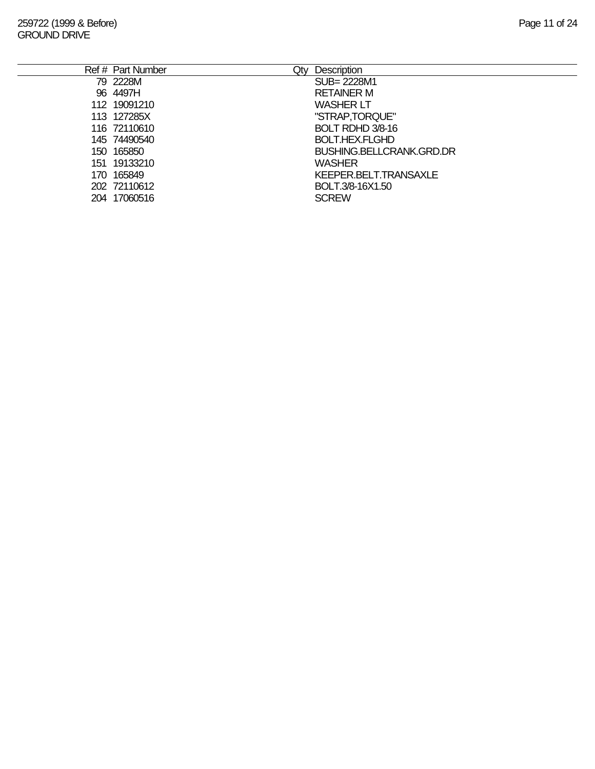|     | Ref # Part Number | Qty | <b>Description</b>              |
|-----|-------------------|-----|---------------------------------|
|     | 79 2228M          |     | SUB= 2228M1                     |
|     | 96 4497H          |     | <b>RETAINER M</b>               |
|     | 112 19091210      |     | <b>WASHER LT</b>                |
|     | 113 127285X       |     | "STRAP, TORQUE"                 |
|     | 116 72110610      |     | BOLT RDHD 3/8-16                |
|     | 145 74490540      |     | <b>BOLT.HEX.FLGHD</b>           |
|     | 150 165850        |     | <b>BUSHING.BELLCRANK.GRD.DR</b> |
| 151 | 19133210          |     | <b>WASHER</b>                   |
|     | 170 165849        |     | KEEPER.BELT.TRANSAXLE           |
|     | 202 72110612      |     | BOLT.3/8-16X1.50                |
|     | 204 17060516      |     | <b>SCREW</b>                    |
|     |                   |     |                                 |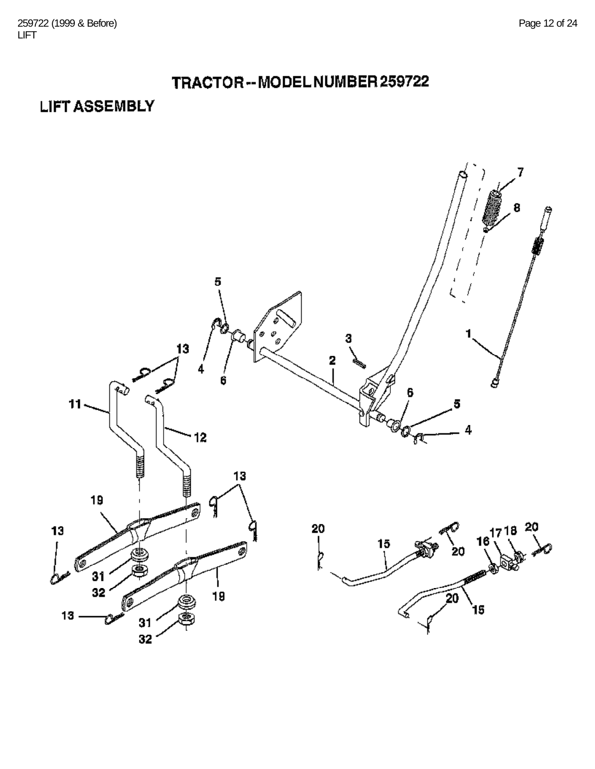## TRACTOR-- MODEL NUMBER 259722

## **LIFT ASSEMBLY**

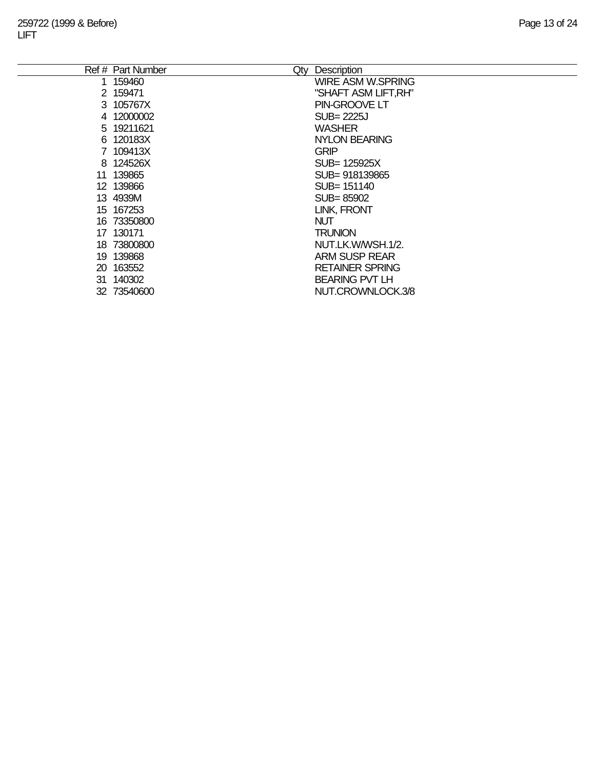|     | Ref # Part Number<br>Qty | Description              |
|-----|--------------------------|--------------------------|
| 1.  | 159460                   | <b>WIRE ASM W.SPRING</b> |
|     | 2 159471                 | "SHAFT ASM LIFT, RH"     |
|     | 3 105767X                | PIN-GROOVE LT            |
|     | 4 12000002               | $SUB = 2225J$            |
|     | 5 19211621               | <b>WASHER</b>            |
|     | 6 120183X                | <b>NYLON BEARING</b>     |
|     | 7 109413X                | <b>GRIP</b>              |
|     | 8 124526X                | SUB= 125925X             |
|     | 11 139865                | SUB= 918139865           |
|     | 12 139866                | SUB= 151140              |
|     | 13 4939M                 | SUB=85902                |
|     | 15 167253                | <b>LINK, FRONT</b>       |
|     | 16 73350800              | <b>NUT</b>               |
|     | 17 130171                | <b>TRUNION</b>           |
|     | 18 73800800              | NUT.LK.W/WSH.1/2.        |
|     | 19 139868                | <b>ARM SUSP REAR</b>     |
|     | 20 163552                | <b>RETAINER SPRING</b>   |
| 31. | 140302                   | <b>BEARING PVT LH</b>    |
| 32  | 73540600                 | NUT.CROWNLOCK.3/8        |
|     |                          |                          |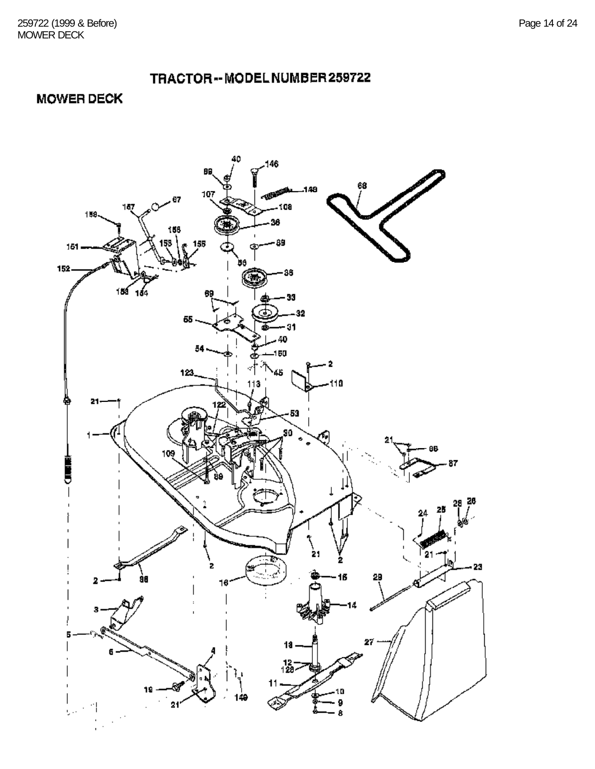#### TRACTOR-- MODEL NUMBER 259722

**MOWER DECK** 

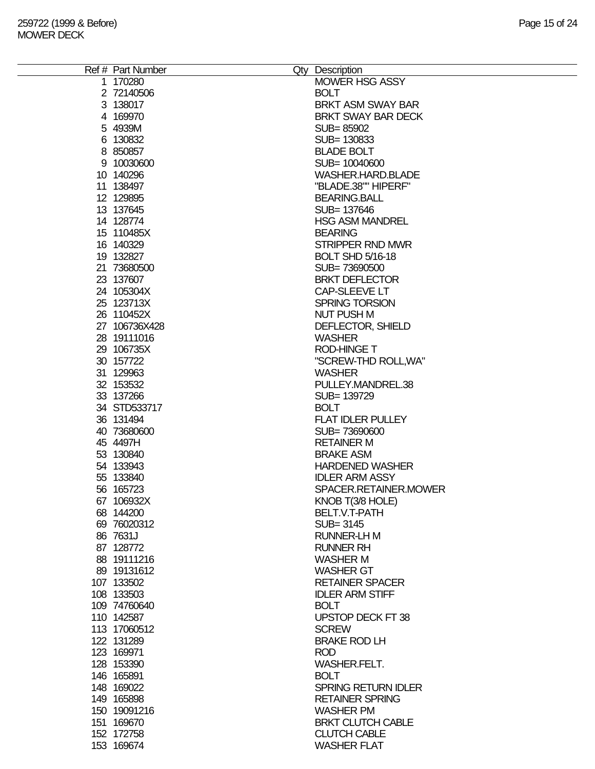| Ref # Part Number | Qty Description            |
|-------------------|----------------------------|
| 1 170280          | MOWER HSG ASSY             |
| 2 72140506        | <b>BOLT</b>                |
| 3 138017          | <b>BRKT ASM SWAY BAR</b>   |
|                   |                            |
| 4 169970          | BRKT SWAY BAR DECK         |
| 5 4939M           | SUB=85902                  |
| 6 130832          | SUB= 130833                |
| 8 850857          | <b>BLADE BOLT</b>          |
| 9 10030600        | SUB= 10040600              |
| 10 140296         | WASHER.HARD.BLADE          |
| 11 138497         | "BLADE.38"" HIPERF"        |
| 12 129895         | <b>BEARING.BALL</b>        |
|                   |                            |
| 13 137645         | SUB= 137646                |
| 14 128774         | <b>HSG ASM MANDREL</b>     |
| 15 110485X        | <b>BEARING</b>             |
| 16 140329         | <b>STRIPPER RND MWR</b>    |
| 19 132827         | <b>BOLT SHD 5/16-18</b>    |
| 21 73680500       | SUB=73690500               |
| 23 137607         | <b>BRKT DEFLECTOR</b>      |
| 24 105304X        | CAP-SLEEVE LT              |
|                   |                            |
| 25 123713X        | SPRING TORSION             |
| 26 110452X        | <b>NUT PUSH M</b>          |
| 27 106736X428     | DEFLECTOR, SHIELD          |
| 28 19111016       | <b>WASHER</b>              |
| 29 106735X        | <b>ROD-HINGE T</b>         |
| 30 157722         | "SCREW-THD ROLL, WA"       |
| 31 129963         | <b>WASHER</b>              |
|                   | PULLEY.MANDREL.38          |
| 32 153532         |                            |
| 33 137266         | SUB= 139729                |
| 34 STD533717      | <b>BOLT</b>                |
| 36 131494         | <b>FLAT IDLER PULLEY</b>   |
| 40 73680600       | SUB=73690600               |
| 45 4497H          | <b>RETAINER M</b>          |
| 53 130840         | <b>BRAKE ASM</b>           |
| 54 133943         | <b>HARDENED WASHER</b>     |
| 55 133840         | <b>IDLER ARM ASSY</b>      |
|                   |                            |
| 56 165723         | SPACER.RETAINER.MOWER      |
| 67 106932X        | KNOB T(3/8 HOLE)           |
| 68 144200         | BELT.V.T-PATH              |
| 69 76020312       | SUB=3145                   |
| 86 7631J          | <b>RUNNER-LH M</b>         |
| 87 128772         | <b>RUNNER RH</b>           |
| 88 19111216       | <b>WASHER M</b>            |
| 89 19131612       | <b>WASHER GT</b>           |
|                   |                            |
| 107 133502        | <b>RETAINER SPACER</b>     |
| 108 133503        | <b>IDLER ARM STIFF</b>     |
| 109 74760640      | <b>BOLT</b>                |
| 110 142587        | UPSTOP DECK FT 38          |
| 113 17060512      | <b>SCREW</b>               |
| 122 131289        | <b>BRAKE ROD LH</b>        |
| 123 169971        | <b>ROD</b>                 |
| 128 153390        | <b>WASHER.FELT.</b>        |
|                   |                            |
| 146 165891        | <b>BOLT</b>                |
| 148 169022        | <b>SPRING RETURN IDLER</b> |
| 149 165898        | <b>RETAINER SPRING</b>     |
| 150 19091216      | <b>WASHER PM</b>           |
| 151 169670        | <b>BRKT CLUTCH CABLE</b>   |
| 152 172758        | <b>CLUTCH CABLE</b>        |
| 153 169674        | <b>WASHER FLAT</b>         |
|                   |                            |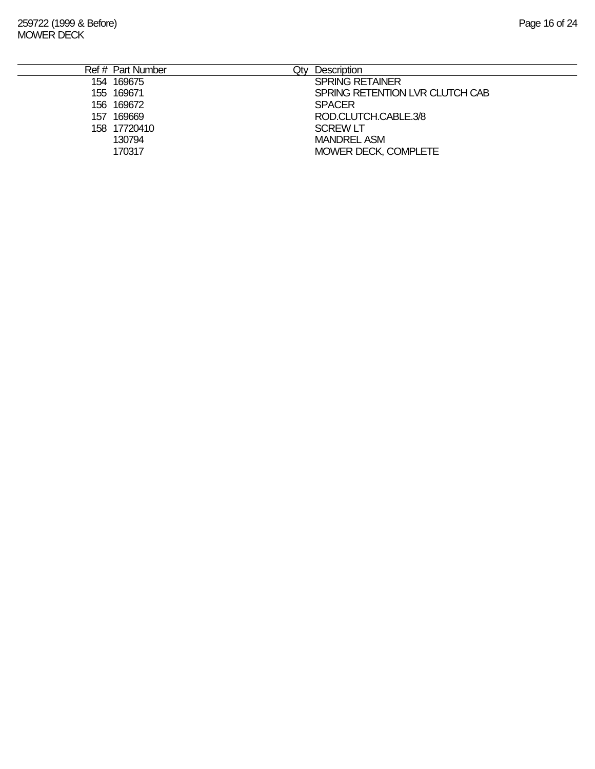|     | Ref # Part Number | Qtv | <b>Description</b>              |
|-----|-------------------|-----|---------------------------------|
|     | 154 169675        |     | <b>SPRING RETAINER</b>          |
|     | 155 169671        |     | SPRING RETENTION LVR CLUTCH CAB |
|     | 156 169672        |     | <b>SPACER</b>                   |
| 157 | 169669            |     | ROD.CLUTCH.CABLE.3/8            |
|     | 158 17720410      |     | <b>SCREW LT</b>                 |
|     | 130794            |     | <b>MANDREL ASM</b>              |
|     | 170317            |     | MOWER DECK, COMPLETE            |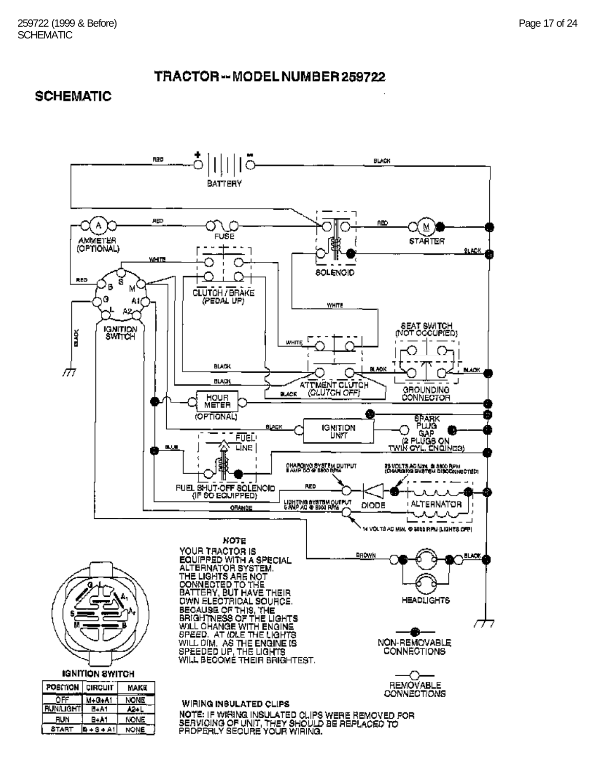#### TRACTOR--MODELNUMBER 259722

#### **SCHEMATIC**

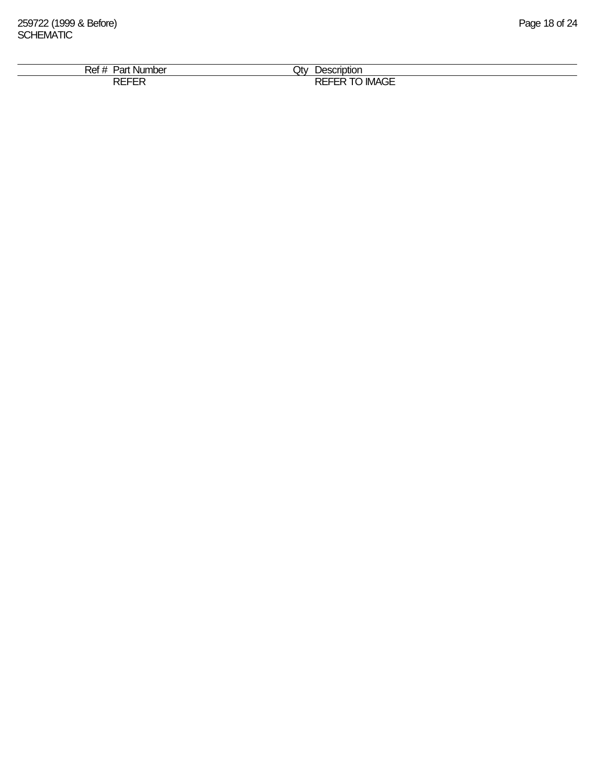| $\lambda$<br>$J_{\rm C}$<br><b>Number</b><br>ʻdl<br>ושר | Jt∨<br>escriptior<br>$N^{\text{max}}$                          |  |
|---------------------------------------------------------|----------------------------------------------------------------|--|
| -----<br>໋                                              | $\cdots$<br>DL<br>--<br>`IMAGE<br>---<br>ו חרי<br>ື<br>_______ |  |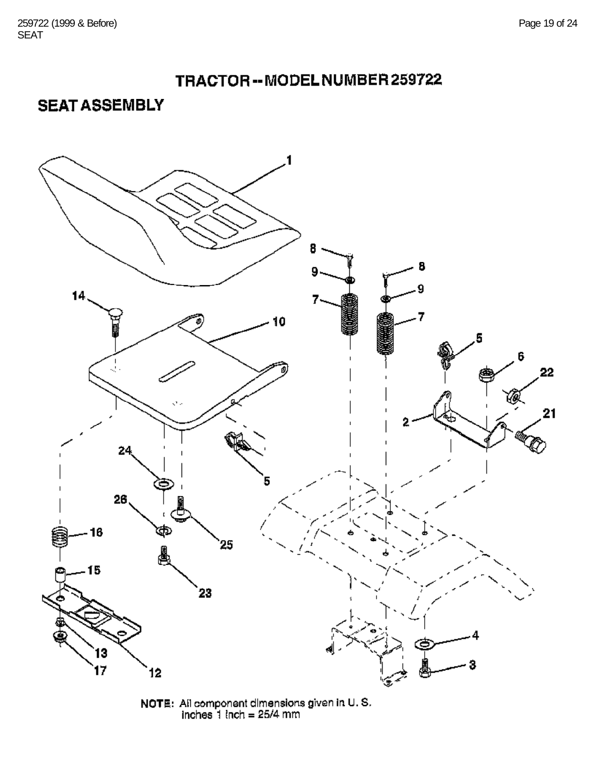



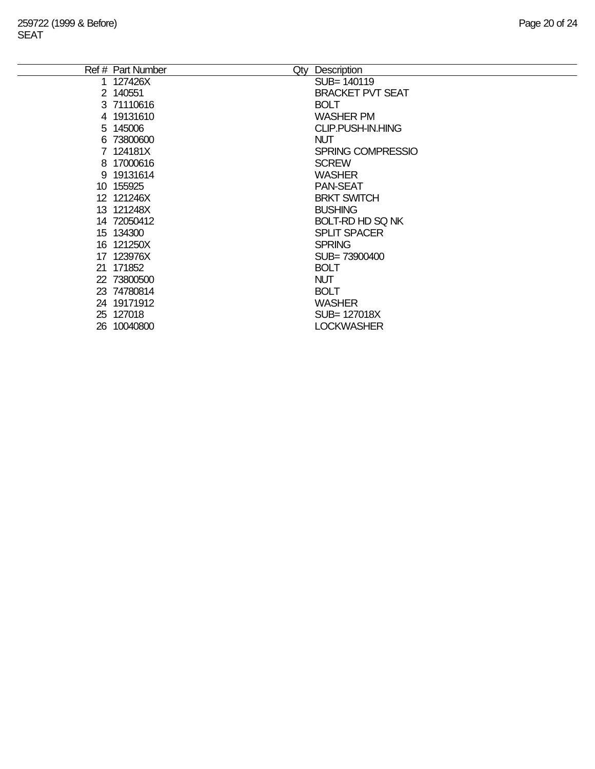| Ref # Part Number | Qty | Description              |
|-------------------|-----|--------------------------|
| 1 127426X         |     | SUB= 140119              |
| 2 140551          |     | <b>BRACKET PVT SEAT</b>  |
| 3 71110616        |     | <b>BOLT</b>              |
| 4 19131610        |     | <b>WASHER PM</b>         |
| 5 145006          |     | CLIP.PUSH-IN.HING        |
| 6 73800600        |     | <b>NUT</b>               |
| 7 124181X         |     | <b>SPRING COMPRESSIO</b> |
| 8 17000616        |     | <b>SCREW</b>             |
| 9 19131614        |     | <b>WASHER</b>            |
| 10 155925         |     | <b>PAN-SEAT</b>          |
| 12 121246X        |     | <b>BRKT SWITCH</b>       |
| 13 121248X        |     | <b>BUSHING</b>           |
| 14 72050412       |     | <b>BOLT-RD HD SQ NK</b>  |
| 15 134300         |     | <b>SPLIT SPACER</b>      |
| 16 121250X        |     | <b>SPRING</b>            |
| 17 123976X        |     | SUB= 73900400            |
| 21 171852         |     | <b>BOLT</b>              |
| 22 73800500       |     | <b>NUT</b>               |
| 23 74780814       |     | <b>BOLT</b>              |
| 24 19171912       |     | <b>WASHER</b>            |
| 25 127018         |     | SUB= 127018X             |
| 26 10040800       |     | <b>LOCKWASHER</b>        |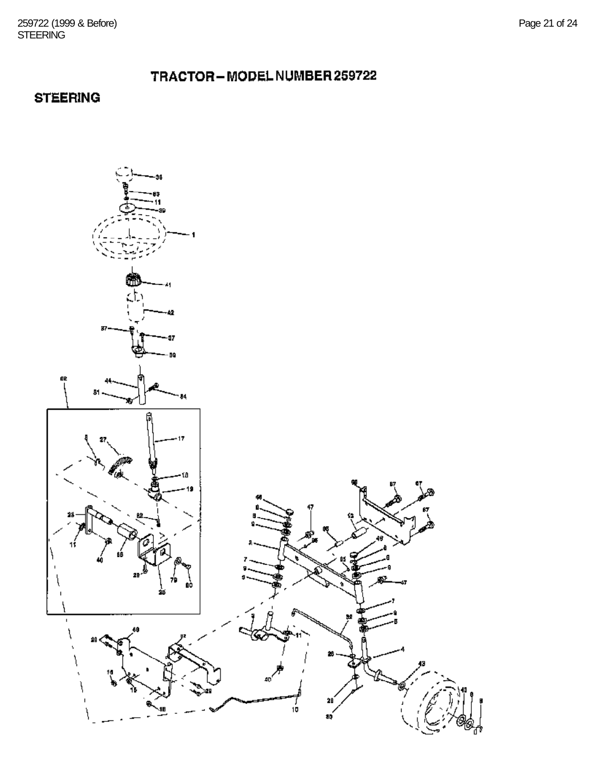#### TRACTOR-MODEL NUMBER 259722

### **STEERING**

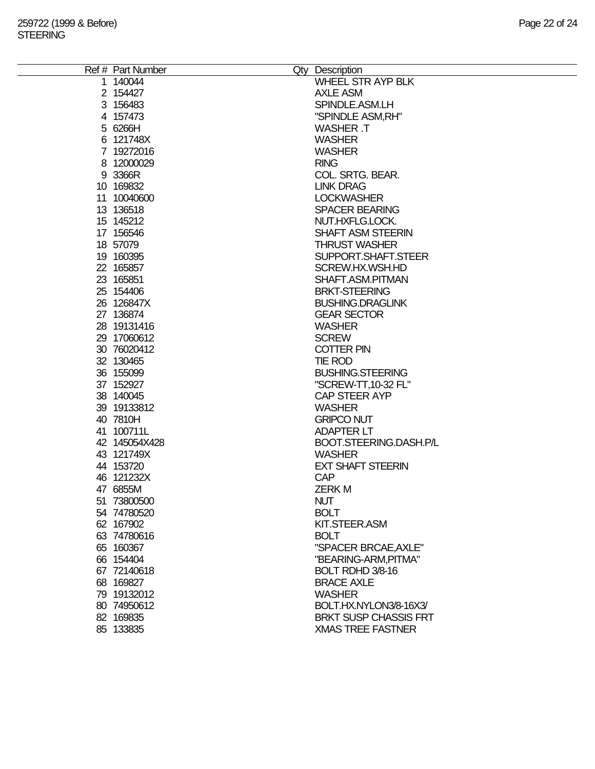| WHEEL STR AYP BLK<br>1 140044<br><b>AXLE ASM</b><br>2 154427<br>SPINDLE.ASM.LH<br>3 156483<br>"SPINDLE ASM, RH"<br>4 157473<br>5 6266H<br><b>WASHER T</b><br><b>WASHER</b><br>6 121748X<br>7 19272016<br><b>WASHER</b><br>8 12000029<br><b>RING</b><br>9 3366R<br>COL. SRTG. BEAR.<br>10 169832<br><b>LINK DRAG</b><br><b>LOCKWASHER</b><br>11 10040600<br>13 13 6518<br><b>SPACER BEARING</b><br>15 145212<br>NUT.HXFLG.LOCK.<br>17 156546<br>SHAFT ASM STEERIN<br>18 57079<br><b>THRUST WASHER</b><br>19 160395<br>SUPPORT.SHAFT.STEER<br>22 165857<br>SCREW.HX.WSH.HD<br>23 165851<br>SHAFT.ASM.PITMAN<br>25 154406<br><b>BRKT-STEERING</b><br>26 126847X<br><b>BUSHING.DRAGLINK</b><br>27 136874<br><b>GEAR SECTOR</b><br>28 19131416<br><b>WASHER</b><br><b>SCREW</b><br>29 17060612<br>30 76020412<br><b>COTTER PIN</b><br>32 130465<br><b>TIE ROD</b><br>36 155099<br><b>BUSHING.STEERING</b><br>37 152927<br>"SCREW-TT, 10-32 FL"<br>38 140045<br><b>CAP STEER AYP</b><br>39 19133812<br><b>WASHER</b><br>40 7810H<br><b>GRIPCO NUT</b><br>41 100711L<br><b>ADAPTER LT</b><br>42 145054X428<br>BOOT.STEERING.DASH.P/L<br>43 121749X<br><b>WASHER</b><br>44 153720<br><b>EXT SHAFT STEERIN</b><br>46 121232X<br><b>CAP</b><br>47 6855M<br><b>ZERKM</b><br><b>NUT</b><br>51 73800500<br>54 74780520<br><b>BOLT</b><br>62 167902<br>KIT.STEER.ASM<br>63 74780616<br><b>BOLT</b><br>"SPACER BRCAE, AXLE"<br>65 160367<br>66 154404<br>"BEARING-ARM, PITMA"<br>67 72140618<br>BOLT RDHD 3/8-16<br>68 169827<br><b>BRACE AXLE</b><br>79 19132012<br><b>WASHER</b> | Ref # Part Number | Qty Description        |
|---------------------------------------------------------------------------------------------------------------------------------------------------------------------------------------------------------------------------------------------------------------------------------------------------------------------------------------------------------------------------------------------------------------------------------------------------------------------------------------------------------------------------------------------------------------------------------------------------------------------------------------------------------------------------------------------------------------------------------------------------------------------------------------------------------------------------------------------------------------------------------------------------------------------------------------------------------------------------------------------------------------------------------------------------------------------------------------------------------------------------------------------------------------------------------------------------------------------------------------------------------------------------------------------------------------------------------------------------------------------------------------------------------------------------------------------------------------------------------------------------------------------------------------------------------------------|-------------------|------------------------|
|                                                                                                                                                                                                                                                                                                                                                                                                                                                                                                                                                                                                                                                                                                                                                                                                                                                                                                                                                                                                                                                                                                                                                                                                                                                                                                                                                                                                                                                                                                                                                                     |                   |                        |
|                                                                                                                                                                                                                                                                                                                                                                                                                                                                                                                                                                                                                                                                                                                                                                                                                                                                                                                                                                                                                                                                                                                                                                                                                                                                                                                                                                                                                                                                                                                                                                     |                   |                        |
|                                                                                                                                                                                                                                                                                                                                                                                                                                                                                                                                                                                                                                                                                                                                                                                                                                                                                                                                                                                                                                                                                                                                                                                                                                                                                                                                                                                                                                                                                                                                                                     |                   |                        |
|                                                                                                                                                                                                                                                                                                                                                                                                                                                                                                                                                                                                                                                                                                                                                                                                                                                                                                                                                                                                                                                                                                                                                                                                                                                                                                                                                                                                                                                                                                                                                                     |                   |                        |
|                                                                                                                                                                                                                                                                                                                                                                                                                                                                                                                                                                                                                                                                                                                                                                                                                                                                                                                                                                                                                                                                                                                                                                                                                                                                                                                                                                                                                                                                                                                                                                     |                   |                        |
|                                                                                                                                                                                                                                                                                                                                                                                                                                                                                                                                                                                                                                                                                                                                                                                                                                                                                                                                                                                                                                                                                                                                                                                                                                                                                                                                                                                                                                                                                                                                                                     |                   |                        |
|                                                                                                                                                                                                                                                                                                                                                                                                                                                                                                                                                                                                                                                                                                                                                                                                                                                                                                                                                                                                                                                                                                                                                                                                                                                                                                                                                                                                                                                                                                                                                                     |                   |                        |
|                                                                                                                                                                                                                                                                                                                                                                                                                                                                                                                                                                                                                                                                                                                                                                                                                                                                                                                                                                                                                                                                                                                                                                                                                                                                                                                                                                                                                                                                                                                                                                     |                   |                        |
|                                                                                                                                                                                                                                                                                                                                                                                                                                                                                                                                                                                                                                                                                                                                                                                                                                                                                                                                                                                                                                                                                                                                                                                                                                                                                                                                                                                                                                                                                                                                                                     |                   |                        |
|                                                                                                                                                                                                                                                                                                                                                                                                                                                                                                                                                                                                                                                                                                                                                                                                                                                                                                                                                                                                                                                                                                                                                                                                                                                                                                                                                                                                                                                                                                                                                                     |                   |                        |
|                                                                                                                                                                                                                                                                                                                                                                                                                                                                                                                                                                                                                                                                                                                                                                                                                                                                                                                                                                                                                                                                                                                                                                                                                                                                                                                                                                                                                                                                                                                                                                     |                   |                        |
|                                                                                                                                                                                                                                                                                                                                                                                                                                                                                                                                                                                                                                                                                                                                                                                                                                                                                                                                                                                                                                                                                                                                                                                                                                                                                                                                                                                                                                                                                                                                                                     |                   |                        |
|                                                                                                                                                                                                                                                                                                                                                                                                                                                                                                                                                                                                                                                                                                                                                                                                                                                                                                                                                                                                                                                                                                                                                                                                                                                                                                                                                                                                                                                                                                                                                                     |                   |                        |
|                                                                                                                                                                                                                                                                                                                                                                                                                                                                                                                                                                                                                                                                                                                                                                                                                                                                                                                                                                                                                                                                                                                                                                                                                                                                                                                                                                                                                                                                                                                                                                     |                   |                        |
|                                                                                                                                                                                                                                                                                                                                                                                                                                                                                                                                                                                                                                                                                                                                                                                                                                                                                                                                                                                                                                                                                                                                                                                                                                                                                                                                                                                                                                                                                                                                                                     |                   |                        |
|                                                                                                                                                                                                                                                                                                                                                                                                                                                                                                                                                                                                                                                                                                                                                                                                                                                                                                                                                                                                                                                                                                                                                                                                                                                                                                                                                                                                                                                                                                                                                                     |                   |                        |
|                                                                                                                                                                                                                                                                                                                                                                                                                                                                                                                                                                                                                                                                                                                                                                                                                                                                                                                                                                                                                                                                                                                                                                                                                                                                                                                                                                                                                                                                                                                                                                     |                   |                        |
|                                                                                                                                                                                                                                                                                                                                                                                                                                                                                                                                                                                                                                                                                                                                                                                                                                                                                                                                                                                                                                                                                                                                                                                                                                                                                                                                                                                                                                                                                                                                                                     |                   |                        |
|                                                                                                                                                                                                                                                                                                                                                                                                                                                                                                                                                                                                                                                                                                                                                                                                                                                                                                                                                                                                                                                                                                                                                                                                                                                                                                                                                                                                                                                                                                                                                                     |                   |                        |
|                                                                                                                                                                                                                                                                                                                                                                                                                                                                                                                                                                                                                                                                                                                                                                                                                                                                                                                                                                                                                                                                                                                                                                                                                                                                                                                                                                                                                                                                                                                                                                     |                   |                        |
|                                                                                                                                                                                                                                                                                                                                                                                                                                                                                                                                                                                                                                                                                                                                                                                                                                                                                                                                                                                                                                                                                                                                                                                                                                                                                                                                                                                                                                                                                                                                                                     |                   |                        |
|                                                                                                                                                                                                                                                                                                                                                                                                                                                                                                                                                                                                                                                                                                                                                                                                                                                                                                                                                                                                                                                                                                                                                                                                                                                                                                                                                                                                                                                                                                                                                                     |                   |                        |
|                                                                                                                                                                                                                                                                                                                                                                                                                                                                                                                                                                                                                                                                                                                                                                                                                                                                                                                                                                                                                                                                                                                                                                                                                                                                                                                                                                                                                                                                                                                                                                     |                   |                        |
|                                                                                                                                                                                                                                                                                                                                                                                                                                                                                                                                                                                                                                                                                                                                                                                                                                                                                                                                                                                                                                                                                                                                                                                                                                                                                                                                                                                                                                                                                                                                                                     |                   |                        |
|                                                                                                                                                                                                                                                                                                                                                                                                                                                                                                                                                                                                                                                                                                                                                                                                                                                                                                                                                                                                                                                                                                                                                                                                                                                                                                                                                                                                                                                                                                                                                                     |                   |                        |
|                                                                                                                                                                                                                                                                                                                                                                                                                                                                                                                                                                                                                                                                                                                                                                                                                                                                                                                                                                                                                                                                                                                                                                                                                                                                                                                                                                                                                                                                                                                                                                     |                   |                        |
|                                                                                                                                                                                                                                                                                                                                                                                                                                                                                                                                                                                                                                                                                                                                                                                                                                                                                                                                                                                                                                                                                                                                                                                                                                                                                                                                                                                                                                                                                                                                                                     |                   |                        |
|                                                                                                                                                                                                                                                                                                                                                                                                                                                                                                                                                                                                                                                                                                                                                                                                                                                                                                                                                                                                                                                                                                                                                                                                                                                                                                                                                                                                                                                                                                                                                                     |                   |                        |
|                                                                                                                                                                                                                                                                                                                                                                                                                                                                                                                                                                                                                                                                                                                                                                                                                                                                                                                                                                                                                                                                                                                                                                                                                                                                                                                                                                                                                                                                                                                                                                     |                   |                        |
|                                                                                                                                                                                                                                                                                                                                                                                                                                                                                                                                                                                                                                                                                                                                                                                                                                                                                                                                                                                                                                                                                                                                                                                                                                                                                                                                                                                                                                                                                                                                                                     |                   |                        |
|                                                                                                                                                                                                                                                                                                                                                                                                                                                                                                                                                                                                                                                                                                                                                                                                                                                                                                                                                                                                                                                                                                                                                                                                                                                                                                                                                                                                                                                                                                                                                                     |                   |                        |
|                                                                                                                                                                                                                                                                                                                                                                                                                                                                                                                                                                                                                                                                                                                                                                                                                                                                                                                                                                                                                                                                                                                                                                                                                                                                                                                                                                                                                                                                                                                                                                     |                   |                        |
|                                                                                                                                                                                                                                                                                                                                                                                                                                                                                                                                                                                                                                                                                                                                                                                                                                                                                                                                                                                                                                                                                                                                                                                                                                                                                                                                                                                                                                                                                                                                                                     |                   |                        |
|                                                                                                                                                                                                                                                                                                                                                                                                                                                                                                                                                                                                                                                                                                                                                                                                                                                                                                                                                                                                                                                                                                                                                                                                                                                                                                                                                                                                                                                                                                                                                                     |                   |                        |
|                                                                                                                                                                                                                                                                                                                                                                                                                                                                                                                                                                                                                                                                                                                                                                                                                                                                                                                                                                                                                                                                                                                                                                                                                                                                                                                                                                                                                                                                                                                                                                     |                   |                        |
|                                                                                                                                                                                                                                                                                                                                                                                                                                                                                                                                                                                                                                                                                                                                                                                                                                                                                                                                                                                                                                                                                                                                                                                                                                                                                                                                                                                                                                                                                                                                                                     |                   |                        |
|                                                                                                                                                                                                                                                                                                                                                                                                                                                                                                                                                                                                                                                                                                                                                                                                                                                                                                                                                                                                                                                                                                                                                                                                                                                                                                                                                                                                                                                                                                                                                                     |                   |                        |
|                                                                                                                                                                                                                                                                                                                                                                                                                                                                                                                                                                                                                                                                                                                                                                                                                                                                                                                                                                                                                                                                                                                                                                                                                                                                                                                                                                                                                                                                                                                                                                     |                   |                        |
|                                                                                                                                                                                                                                                                                                                                                                                                                                                                                                                                                                                                                                                                                                                                                                                                                                                                                                                                                                                                                                                                                                                                                                                                                                                                                                                                                                                                                                                                                                                                                                     |                   |                        |
|                                                                                                                                                                                                                                                                                                                                                                                                                                                                                                                                                                                                                                                                                                                                                                                                                                                                                                                                                                                                                                                                                                                                                                                                                                                                                                                                                                                                                                                                                                                                                                     |                   |                        |
|                                                                                                                                                                                                                                                                                                                                                                                                                                                                                                                                                                                                                                                                                                                                                                                                                                                                                                                                                                                                                                                                                                                                                                                                                                                                                                                                                                                                                                                                                                                                                                     |                   |                        |
|                                                                                                                                                                                                                                                                                                                                                                                                                                                                                                                                                                                                                                                                                                                                                                                                                                                                                                                                                                                                                                                                                                                                                                                                                                                                                                                                                                                                                                                                                                                                                                     |                   |                        |
|                                                                                                                                                                                                                                                                                                                                                                                                                                                                                                                                                                                                                                                                                                                                                                                                                                                                                                                                                                                                                                                                                                                                                                                                                                                                                                                                                                                                                                                                                                                                                                     |                   |                        |
|                                                                                                                                                                                                                                                                                                                                                                                                                                                                                                                                                                                                                                                                                                                                                                                                                                                                                                                                                                                                                                                                                                                                                                                                                                                                                                                                                                                                                                                                                                                                                                     |                   |                        |
|                                                                                                                                                                                                                                                                                                                                                                                                                                                                                                                                                                                                                                                                                                                                                                                                                                                                                                                                                                                                                                                                                                                                                                                                                                                                                                                                                                                                                                                                                                                                                                     |                   |                        |
|                                                                                                                                                                                                                                                                                                                                                                                                                                                                                                                                                                                                                                                                                                                                                                                                                                                                                                                                                                                                                                                                                                                                                                                                                                                                                                                                                                                                                                                                                                                                                                     |                   |                        |
| 80 74950612                                                                                                                                                                                                                                                                                                                                                                                                                                                                                                                                                                                                                                                                                                                                                                                                                                                                                                                                                                                                                                                                                                                                                                                                                                                                                                                                                                                                                                                                                                                                                         |                   | BOLT.HX.NYLON3/8-16X3/ |
| 82 169835<br><b>BRKT SUSP CHASSIS FRT</b>                                                                                                                                                                                                                                                                                                                                                                                                                                                                                                                                                                                                                                                                                                                                                                                                                                                                                                                                                                                                                                                                                                                                                                                                                                                                                                                                                                                                                                                                                                                           |                   |                        |
| 85 133835<br><b>XMAS TREE FASTNER</b>                                                                                                                                                                                                                                                                                                                                                                                                                                                                                                                                                                                                                                                                                                                                                                                                                                                                                                                                                                                                                                                                                                                                                                                                                                                                                                                                                                                                                                                                                                                               |                   |                        |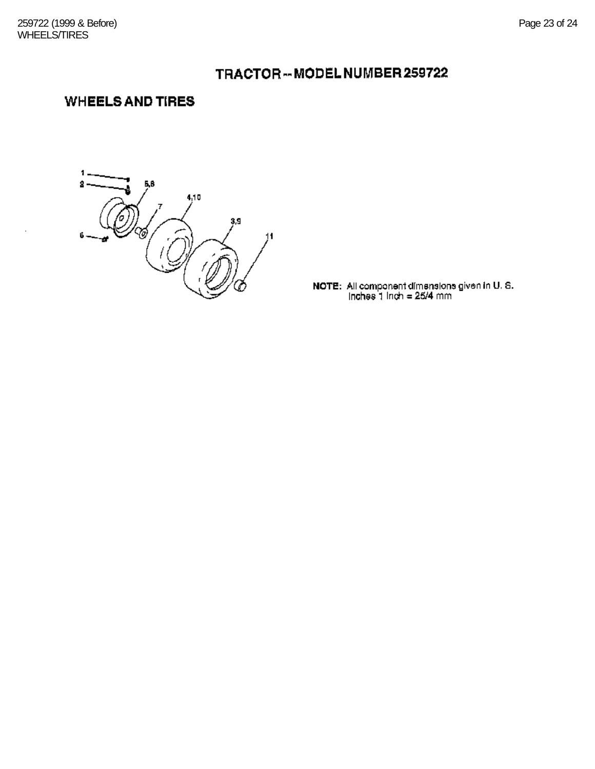## TRACTOR-MODEL NUMBER 259722

### **WHEELS AND TIRES**

1 2 Б, В  $4,10$  $3.9$ ゐ  $11$ 6

**NOTE:** All component dimensions given in U.S.<br>Inches 1 Inch =  $25/4$  mm